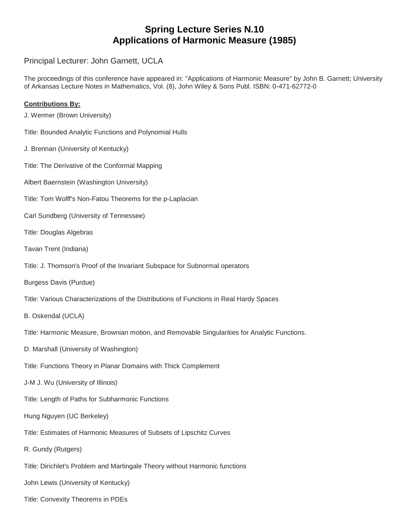## **Spring Lecture Series N.10 Applications of Harmonic Measure (1985)**

Principal Lecturer: John Garnett, UCLA

The proceedings of this conference have appeared in: "Applications of Harmonic Measure" by John B. Garnett; University of Arkansas Lecture Notes in Mathematics, Vol. (8), John Wiley & Sons Publ. ISBN: 0-471-62772-0

## **Contributions By:**

J. Wermer (Brown University)

Title: Bounded Analytic Functions and Polynomial Hulls

- J. Brennan (University of Kentucky)
- Title: The Derivative of the Conformal Mapping
- Albert Baernstein (Washington University)
- Title: Tom Wolff's Non-Fatou Theorems for the p-Laplacian
- Carl Sundberg (University of Tennessee)
- Title: Douglas Algebras
- Tavan Trent (Indiana)
- Title: J. Thomson's Proof of the Invariant Subspace for Subnormal operators
- Burgess Davis (Purdue)
- Title: Various Characterizations of the Distributions of Functions in Real Hardy Spaces
- B. Oskendal (UCLA)

Title: Harmonic Measure, Brownian motion, and Removable Singularities for Analytic Functions.

- D. Marshall (University of Washington)
- Title: Functions Theory in Planar Domains with Thick Complement
- J-M J. Wu (University of Illinois)
- Title: Length of Paths for Subharmonic Functions
- Hung Nguyen (UC Berkeley)
- Title: Estimates of Harmonic Measures of Subsets of Lipschitz Curves
- R. Gundy (Rutgers)
- Title: Dirichlet's Problem and Martingale Theory without Harmonic functions
- John Lewis (University of Kentucky)
- Title: Convexity Theorems in PDEs